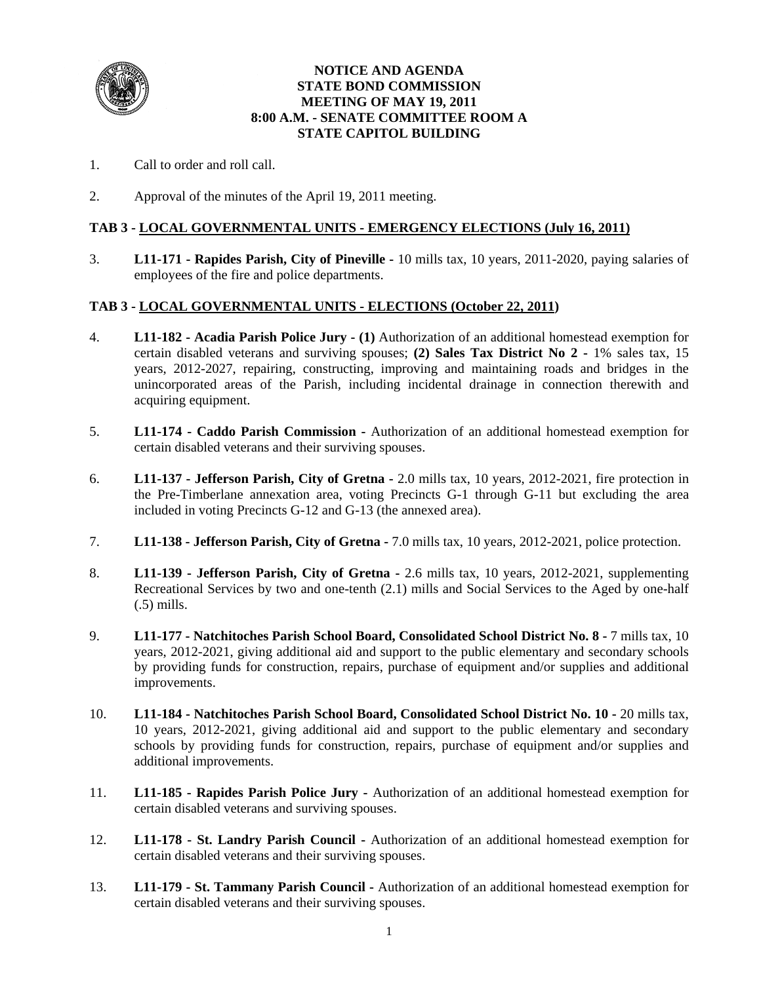

#### **NOTICE AND AGENDA STATE BOND COMMISSION MEETING OF MAY 19, 2011 8:00 A.M. - SENATE COMMITTEE ROOM A STATE CAPITOL BUILDING**

- 1. Call to order and roll call.
- 2. Approval of the minutes of the April 19, 2011 meeting.

#### **TAB 3 - LOCAL GOVERNMENTAL UNITS - EMERGENCY ELECTIONS (July 16, 2011)**

3. **L11-171 - Rapides Parish, City of Pineville -** 10 mills tax, 10 years, 2011-2020, paying salaries of employees of the fire and police departments.

#### **TAB 3 - LOCAL GOVERNMENTAL UNITS - ELECTIONS (October 22, 2011)**

- 4. **L11-182 Acadia Parish Police Jury (1)** Authorization of an additional homestead exemption for certain disabled veterans and surviving spouses; **(2) Sales Tax District No 2 -** 1% sales tax, 15 years, 2012-2027, repairing, constructing, improving and maintaining roads and bridges in the unincorporated areas of the Parish, including incidental drainage in connection therewith and acquiring equipment.
- 5. **L11-174 Caddo Parish Commission -** Authorization of an additional homestead exemption for certain disabled veterans and their surviving spouses.
- 6. **L11-137 Jefferson Parish, City of Gretna** 2.0 mills tax, 10 years, 2012-2021, fire protection in the Pre-Timberlane annexation area, voting Precincts G-1 through G-11 but excluding the area included in voting Precincts G-12 and G-13 (the annexed area).
- 7. **L11-138 Jefferson Parish, City of Gretna** 7.0 mills tax, 10 years, 2012-2021, police protection.
- 8. **L11-139 Jefferson Parish, City of Gretna** 2.6 mills tax, 10 years, 2012-2021, supplementing Recreational Services by two and one-tenth (2.1) mills and Social Services to the Aged by one-half (.5) mills.
- 9. **L11-177 Natchitoches Parish School Board, Consolidated School District No. 8 -** 7 mills tax, 10 years, 2012-2021, giving additional aid and support to the public elementary and secondary schools by providing funds for construction, repairs, purchase of equipment and/or supplies and additional improvements.
- 10. **L11-184 Natchitoches Parish School Board, Consolidated School District No. 10 -** 20 mills tax, 10 years, 2012-2021, giving additional aid and support to the public elementary and secondary schools by providing funds for construction, repairs, purchase of equipment and/or supplies and additional improvements.
- 11. **L11-185 Rapides Parish Police Jury -** Authorization of an additional homestead exemption for certain disabled veterans and surviving spouses.
- 12. **L11-178 St. Landry Parish Council** Authorization of an additional homestead exemption for certain disabled veterans and their surviving spouses.
- 13. **L11-179 St. Tammany Parish Council** Authorization of an additional homestead exemption for certain disabled veterans and their surviving spouses.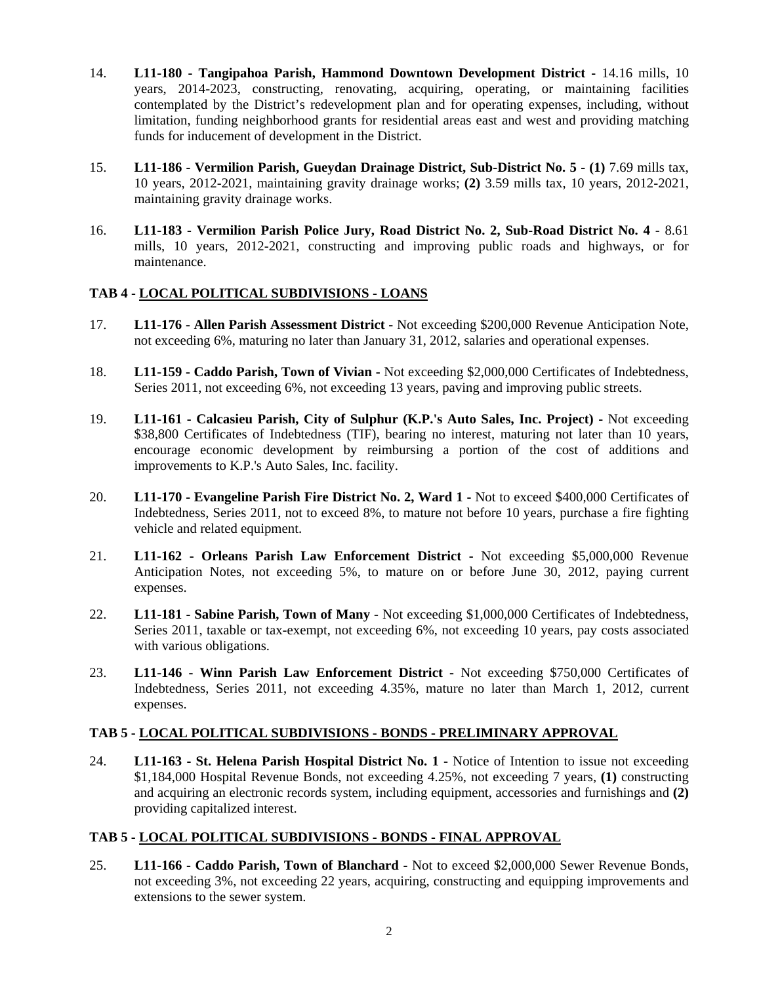- 14. **L11-180 Tangipahoa Parish, Hammond Downtown Development District** 14.16 mills, 10 years, 2014-2023, constructing, renovating, acquiring, operating, or maintaining facilities contemplated by the District's redevelopment plan and for operating expenses, including, without limitation, funding neighborhood grants for residential areas east and west and providing matching funds for inducement of development in the District.
- 15. **L11-186 Vermilion Parish, Gueydan Drainage District, Sub-District No. 5 (1)** 7.69 mills tax, 10 years, 2012-2021, maintaining gravity drainage works; **(2)** 3.59 mills tax, 10 years, 2012-2021, maintaining gravity drainage works.
- 16. **L11-183 Vermilion Parish Police Jury, Road District No. 2, Sub-Road District No. 4** 8.61 mills, 10 years, 2012-2021, constructing and improving public roads and highways, or for maintenance.

### **TAB 4 - LOCAL POLITICAL SUBDIVISIONS - LOANS**

- 17. **L11-176 Allen Parish Assessment District** Not exceeding \$200,000 Revenue Anticipation Note, not exceeding 6%, maturing no later than January 31, 2012, salaries and operational expenses.
- 18. **L11-159 - Caddo Parish, Town of Vivian -** Not exceeding \$2,000,000 Certificates of Indebtedness, Series 2011, not exceeding 6%, not exceeding 13 years, paving and improving public streets.
- 19. **L11-161 Calcasieu Parish, City of Sulphur (K.P.'s Auto Sales, Inc. Project)** Not exceeding \$38,800 Certificates of Indebtedness (TIF), bearing no interest, maturing not later than 10 years, encourage economic development by reimbursing a portion of the cost of additions and improvements to K.P.'s Auto Sales, Inc. facility.
- 20. **L11-170 Evangeline Parish Fire District No. 2, Ward 1** Not to exceed \$400,000 Certificates of Indebtedness, Series 2011, not to exceed 8%, to mature not before 10 years, purchase a fire fighting vehicle and related equipment.
- 21. **L11-162 Orleans Parish Law Enforcement District** Not exceeding \$5,000,000 Revenue Anticipation Notes, not exceeding 5%, to mature on or before June 30, 2012, paying current expenses.
- 22. **L11-181 Sabine Parish, Town of Many** Not exceeding \$1,000,000 Certificates of Indebtedness, Series 2011, taxable or tax-exempt, not exceeding 6%, not exceeding 10 years, pay costs associated with various obligations.
- 23. **L11-146 Winn Parish Law Enforcement District** Not exceeding \$750,000 Certificates of Indebtedness, Series 2011, not exceeding 4.35%, mature no later than March 1, 2012, current expenses.

### **TAB 5 - LOCAL POLITICAL SUBDIVISIONS - BONDS - PRELIMINARY APPROVAL**

24. **L11-163 - St. Helena Parish Hospital District No. 1** - Notice of Intention to issue not exceeding \$1,184,000 Hospital Revenue Bonds, not exceeding 4.25%, not exceeding 7 years, **(1)** constructing and acquiring an electronic records system, including equipment, accessories and furnishings and **(2)**  providing capitalized interest.

# **TAB 5 - LOCAL POLITICAL SUBDIVISIONS - BONDS - FINAL APPROVAL**

25. **L11-166 - Caddo Parish, Town of Blanchard -** Not to exceed \$2,000,000 Sewer Revenue Bonds, not exceeding 3%, not exceeding 22 years, acquiring, constructing and equipping improvements and extensions to the sewer system.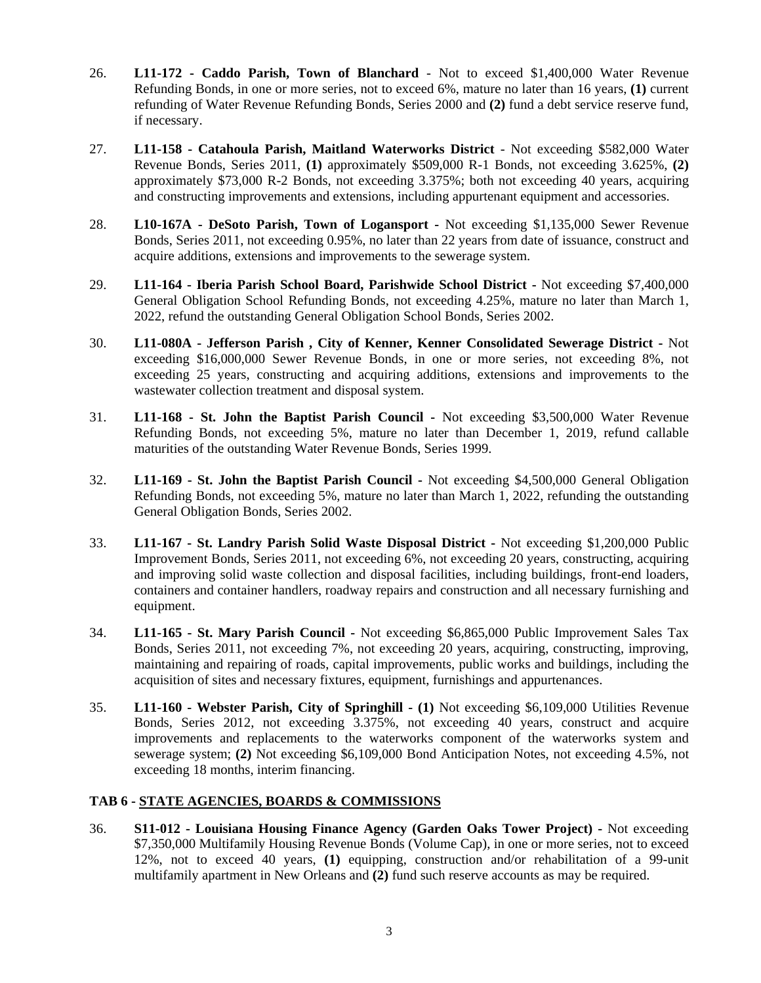- 26. **L11-172 Caddo Parish, Town of Blanchard** Not to exceed \$1,400,000 Water Revenue Refunding Bonds, in one or more series, not to exceed 6%, mature no later than 16 years, **(1)** current refunding of Water Revenue Refunding Bonds, Series 2000 and **(2)** fund a debt service reserve fund, if necessary.
- 27. **L11-158 Catahoula Parish, Maitland Waterworks District** Not exceeding \$582,000 Water Revenue Bonds, Series 2011, **(1)** approximately \$509,000 R-1 Bonds, not exceeding 3.625%, **(2)** approximately \$73,000 R-2 Bonds, not exceeding 3.375%; both not exceeding 40 years, acquiring and constructing improvements and extensions, including appurtenant equipment and accessories.
- 28. **L10-167A DeSoto Parish, Town of Logansport -** Not exceeding \$1,135,000 Sewer Revenue Bonds, Series 2011, not exceeding 0.95%, no later than 22 years from date of issuance, construct and acquire additions, extensions and improvements to the sewerage system.
- 29. **L11-164 Iberia Parish School Board, Parishwide School District -** Not exceeding \$7,400,000 General Obligation School Refunding Bonds, not exceeding 4.25%, mature no later than March 1, 2022, refund the outstanding General Obligation School Bonds, Series 2002.
- 30. **L11-080A Jefferson Parish , City of Kenner, Kenner Consolidated Sewerage District** Not exceeding \$16,000,000 Sewer Revenue Bonds, in one or more series, not exceeding 8%, not exceeding 25 years, constructing and acquiring additions, extensions and improvements to the wastewater collection treatment and disposal system.
- 31. **L11-168 St. John the Baptist Parish Council -** Not exceeding \$3,500,000 Water Revenue Refunding Bonds, not exceeding 5%, mature no later than December 1, 2019, refund callable maturities of the outstanding Water Revenue Bonds, Series 1999.
- 32. **L11-169 St. John the Baptist Parish Council** Not exceeding \$4,500,000 General Obligation Refunding Bonds, not exceeding 5%, mature no later than March 1, 2022, refunding the outstanding General Obligation Bonds, Series 2002.
- 33. **L11-167 St. Landry Parish Solid Waste Disposal District** Not exceeding \$1,200,000 Public Improvement Bonds, Series 2011, not exceeding 6%, not exceeding 20 years, constructing, acquiring and improving solid waste collection and disposal facilities, including buildings, front-end loaders, containers and container handlers, roadway repairs and construction and all necessary furnishing and equipment.
- 34. **L11-165 St. Mary Parish Council** Not exceeding \$6,865,000 Public Improvement Sales Tax Bonds, Series 2011, not exceeding 7%, not exceeding 20 years, acquiring, constructing, improving, maintaining and repairing of roads, capital improvements, public works and buildings, including the acquisition of sites and necessary fixtures, equipment, furnishings and appurtenances.
- 35. **L11-160 Webster Parish, City of Springhill - (1)** Not exceeding \$6,109,000 Utilities Revenue Bonds, Series 2012, not exceeding 3.375%, not exceeding 40 years, construct and acquire improvements and replacements to the waterworks component of the waterworks system and sewerage system; **(2)** Not exceeding \$6,109,000 Bond Anticipation Notes, not exceeding 4.5%, not exceeding 18 months, interim financing.

### **TAB 6 - STATE AGENCIES, BOARDS & COMMISSIONS**

36. **S11-012 - Louisiana Housing Finance Agency (Garden Oaks Tower Project) -** Not exceeding \$7,350,000 Multifamily Housing Revenue Bonds (Volume Cap), in one or more series, not to exceed 12%, not to exceed 40 years, **(1)** equipping, construction and/or rehabilitation of a 99-unit multifamily apartment in New Orleans and **(2)** fund such reserve accounts as may be required.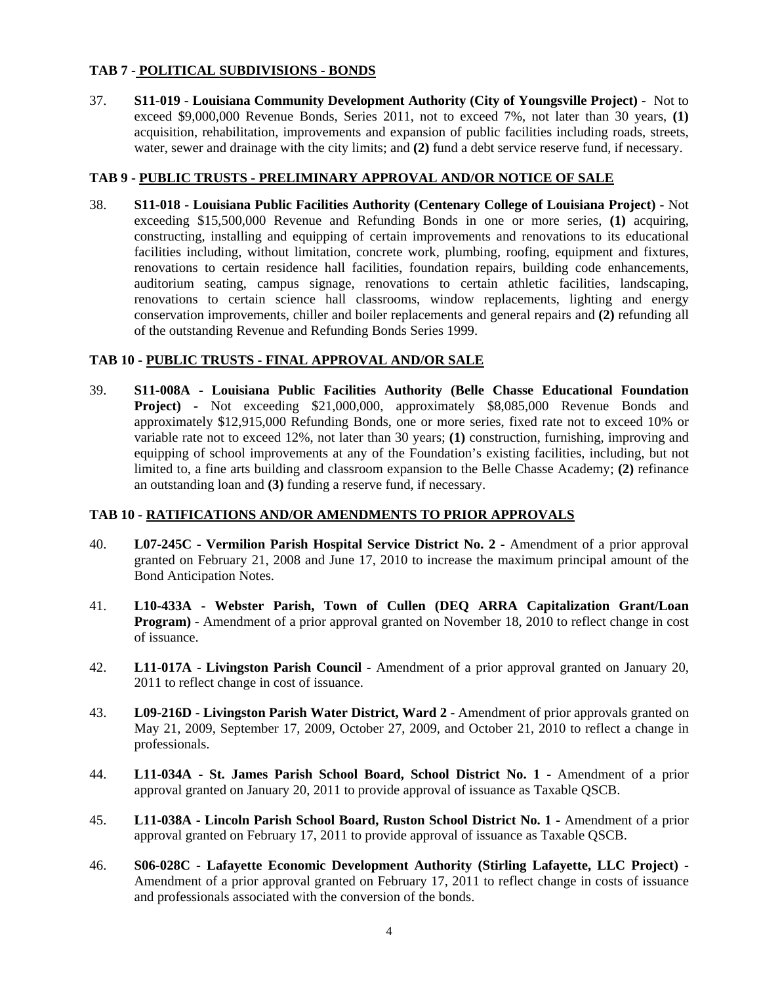### **TAB 7 - POLITICAL SUBDIVISIONS - BONDS**

37. **S11-019 - Louisiana Community Development Authority (City of Youngsville Project) -** Not to exceed \$9,000,000 Revenue Bonds, Series 2011, not to exceed 7%, not later than 30 years, **(1)** acquisition, rehabilitation, improvements and expansion of public facilities including roads, streets, water, sewer and drainage with the city limits; and **(2)** fund a debt service reserve fund, if necessary.

### **TAB 9 - PUBLIC TRUSTS - PRELIMINARY APPROVAL AND/OR NOTICE OF SALE**

38. **S11-018 - Louisiana Public Facilities Authority (Centenary College of Louisiana Project) -** Not exceeding \$15,500,000 Revenue and Refunding Bonds in one or more series, **(1)** acquiring, constructing, installing and equipping of certain improvements and renovations to its educational facilities including, without limitation, concrete work, plumbing, roofing, equipment and fixtures, renovations to certain residence hall facilities, foundation repairs, building code enhancements, auditorium seating, campus signage, renovations to certain athletic facilities, landscaping, renovations to certain science hall classrooms, window replacements, lighting and energy conservation improvements, chiller and boiler replacements and general repairs and **(2)** refunding all of the outstanding Revenue and Refunding Bonds Series 1999.

#### **TAB 10 - PUBLIC TRUSTS - FINAL APPROVAL AND/OR SALE**

39. **S11-008A - Louisiana Public Facilities Authority (Belle Chasse Educational Foundation Project) -** Not exceeding \$21,000,000, approximately \$8,085,000 Revenue Bonds and approximately \$12,915,000 Refunding Bonds, one or more series, fixed rate not to exceed 10% or variable rate not to exceed 12%, not later than 30 years; **(1)** construction, furnishing, improving and equipping of school improvements at any of the Foundation's existing facilities, including, but not limited to, a fine arts building and classroom expansion to the Belle Chasse Academy; **(2)** refinance an outstanding loan and **(3)** funding a reserve fund, if necessary.

#### **TAB 10 - RATIFICATIONS AND/OR AMENDMENTS TO PRIOR APPROVALS**

- 40. **L07-245C Vermilion Parish Hospital Service District No. 2** Amendment of a prior approval granted on February 21, 2008 and June 17, 2010 to increase the maximum principal amount of the Bond Anticipation Notes.
- 41. **L10-433A Webster Parish, Town of Cullen (DEQ ARRA Capitalization Grant/Loan Program) -** Amendment of a prior approval granted on November 18, 2010 to reflect change in cost of issuance.
- 42. **L11-017A Livingston Parish Council -** Amendment of a prior approval granted on January 20, 2011 to reflect change in cost of issuance.
- 43. **L09-216D Livingston Parish Water District, Ward 2** Amendment of prior approvals granted on May 21, 2009, September 17, 2009, October 27, 2009, and October 21, 2010 to reflect a change in professionals.
- 44. **L11-034A St. James Parish School Board, School District No. 1 -** Amendment of a prior approval granted on January 20, 2011 to provide approval of issuance as Taxable QSCB.
- 45. **L11-038A Lincoln Parish School Board, Ruston School District No. 1 -** Amendment of a prior approval granted on February 17, 2011 to provide approval of issuance as Taxable QSCB.
- 46. **S06-028C Lafayette Economic Development Authority (Stirling Lafayette, LLC Project)**  Amendment of a prior approval granted on February 17, 2011 to reflect change in costs of issuance and professionals associated with the conversion of the bonds.